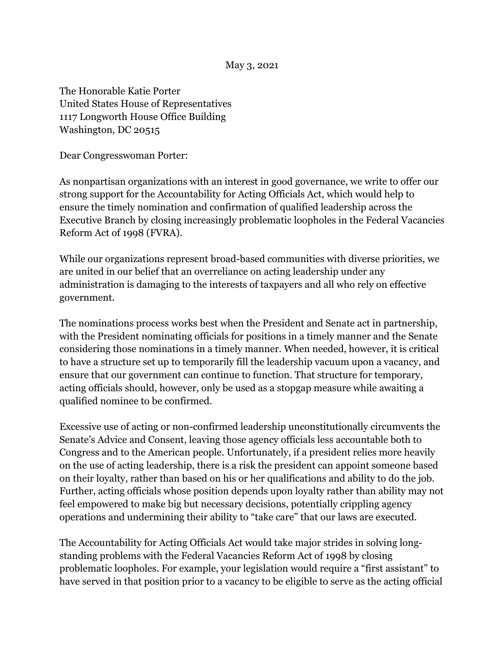May 3, 2021

The Honorable Katie Porter United States House of Representatives 1117 Longworth House Office Building Washington, DC 20515

Dear Congresswoman Porter:

As nonpartisan organizations with an interest in good governance, we write to offer our strong support for the Accountability for Acting Officials Act, which would help to ensure the timely nomination and confirmation of qualified leadership across the Executive Branch by closing increasingly problematic loopholes in the Federal Vacancies Reform Act of 1998 (FVRA).

While our organizations represent broad-based communities with diverse priorities, we are united in our belief that an overreliance on acting leadership under any administration is damaging to the interests of taxpayers and all who rely on effective government.

The nominations process works best when the President and Senate act in partnership, with the President nominating officials for positions in a timely manner and the Senate considering those nominations in a timely manner. When needed, however, it is critical to have a structure set up to temporarily fill the leadership vacuum upon a vacancy, and ensure that our government can continue to function. That structure for temporary, acting officials should, however, only be used as a stopgap measure while awaiting a qualified nominee to be confirmed.

Excessive use of acting or non-confirmed leadership unconstitutionally circumvents the Senate's Advice and Consent, leaving those agency officials less accountable both to Congress and to the American people. Unfortunately, if a president relies more heavily on the use of acting leadership, there is a risk the president can appoint someone based on their loyalty, rather than based on his or her qualifications and ability to do the job. Further, acting officials whose position depends upon loyalty rather than ability may not feel empowered to make big but necessary decisions, potentially crippling agency operations and undermining their ability to "take care" that our laws are executed.

The Accountability for Acting Officials Act would take major strides in solving longstanding problems with the Federal Vacancies Reform Act of 1998 by closing problematic loopholes. For example, your legislation would require a "first assistant" to have served in that position prior to a vacancy to be eligible to serve as the acting official